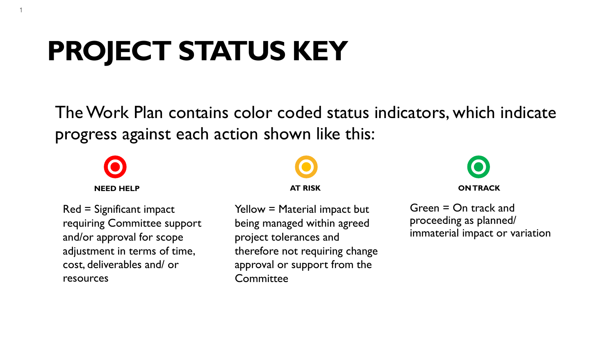## **PROJECT STATUS KEY**

The Work Plan contains color coded status indicators, which indicate progress against each action shown like this:

1

Red = Significant impact requiring Committee support and/or approval for scope adjustment in terms of time, cost, deliverables and/ or resources

## **AT RISK**

Yellow = Material impact but being managed within agreed project tolerances and therefore not requiring change approval or support from the **Committee** 

# **NEED HELP ON TRACK**

Green = On track and proceeding as planned/ immaterial impact or variation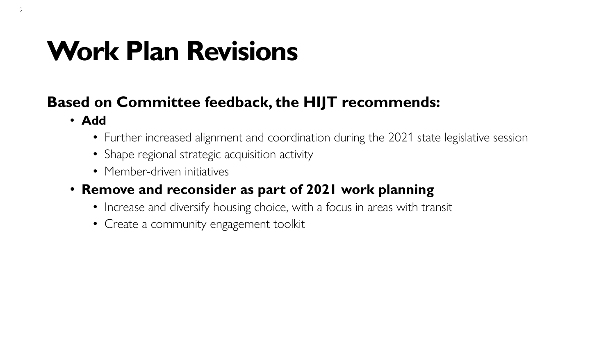## **Work Plan Revisions**

### **Based on Committee feedback, the HIJT recommends:**

- **Add**
	- Further increased alignment and coordination during the 2021 state legislative session
	- Shape regional strategic acquisition activity
	- Member-driven initiatives
- **Remove and reconsider as part of 2021 work planning**
	- Increase and diversify housing choice, with a focus in areas with transit
	- Create a community engagement toolkit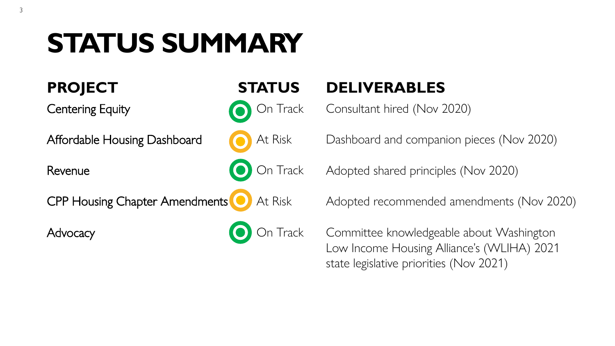## **STATUS SUMMARY**

3

## **PROJECT STATUS DELIVERABLES**

Centering Equity **Centering Equity Consultant hired (Nov 2020)** 

Affordable Housing Dashboard **At Risk** Dashboard and companion pieces (Nov 2020)

Revenue **CO** On Track Adopted shared principles (Nov 2020)

CPP Housing Chapter Amendments **CD** At Risk Adopted recommended amendments (Nov 2020)

Advocacy **On Track Committee knowledgeable about Washington** Low Income Housing Alliance's (WLIHA) 2021 state legislative priorities (Nov 2021)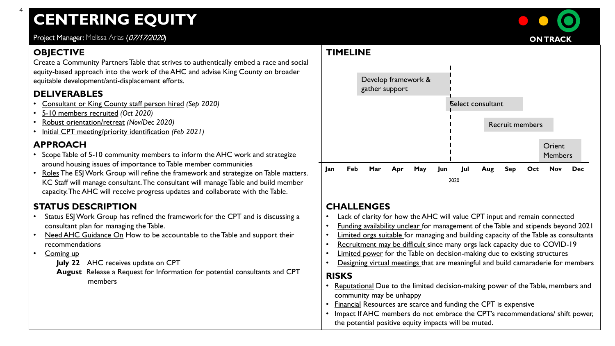## **CENTERING EQUITY**

Project Manager: Melissa Arias (07/17/2020)

#### **OBJECTIVE**

4

Create a Community Partners Table that strives to authentically embed a race and social equity-based approach into the work of the AHC and advise King County on broader equitable development/anti-displacement efforts.

#### **DELIVERABLES**

- Consultant or King County staff person hired *(Sep 2020)*
- 5-10 members recruited *(Oct 2020)*
- Robust orientation/retreat *(Nov/Dec 2020)*
- Initial CPT meeting/priority identification *(Feb 2021)*

#### **APPROACH**

- Scope Table of 5-10 community members to inform the AHC work and strategize around housing issues of importance to Table member communities
- Roles The ESJ Work Group will refine the framework and strategize on Table matters. KC Staff will manage consultant. The consultant will manage Table and build member capacity. The AHC will receive progress updates and collaborate with the Table.

#### **STATUS DESCRIPTION**

- Status ESJ Work Group has refined the framework for the CPT and is discussing a consultant plan for managing the Table.
- Need AHC Guidance On How to be accountable to the Table and support their recommendations
- Coming up
	- **July 22** AHC receives update on CPT
	- **August** Release a Request for Information for potential consultants and CPT members

#### **TIMELINE**



#### **CHALLENGES**

- **Lack of clarity for how the AHC will value CPT input and remain connected**
- Funding availability unclear for management of the Table and stipends beyond 2021
- Limited orgs suitable for managing and building capacity of the Table as consultants
- Recruitment may be difficult since many orgs lack capacity due to COVID-19
- Limited power for the Table on decision-making due to existing structures
- Designing virtual meetings that are meaningful and build camaraderie for members

#### **RISKS**

- Reputational Due to the limited decision-making power of the Table, members and community may be unhappy
- Financial Resources are scarce and funding the CPT is expensive
- Impact If AHC members do not embrace the CPT's recommendations/ shift power, the potential positive equity impacts will be muted.

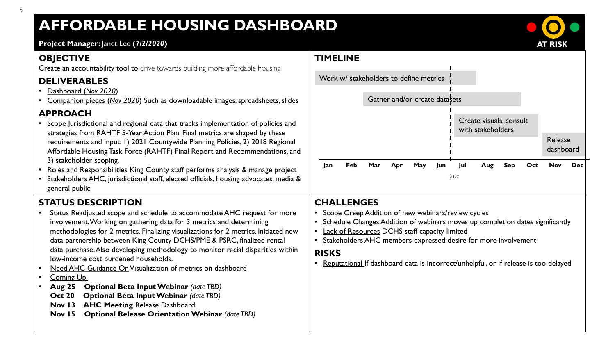### **AFFORDABLE HOUSING DASHBOARD**

#### **Project Manager:** Janet Lee **(***7/2/2020***)**

#### **OBJECTIVE**

Create an accountability tool to drive towards building more affordable housing

#### **DELIVERABLES**

- Dashboard (*Nov 2020*)
- Companion pieces (*Nov 2020*) Such as downloadable images, spreadsheets, slides

#### **APPROACH**

- Scope Jurisdictional and regional data that tracks implementation of policies and strategies from RAHTF 5-Year Action Plan. Final metrics are shaped by these requirements and input: 1) 2021 Countywide Planning Policies, 2) 2018 Regional Affordable Housing Task Force (RAHTF) Final Report and Recommendations, and 3) stakeholder scoping.
- Roles and Responsibilities King County staff performs analysis & manage project
- Stakeholders AHC, jurisdictional staff, elected officials, housing advocates, media & general public

### **STATUS DESCRIPTION**

- Status Readjusted scope and schedule to accommodate AHC request for more involvement. Working on gathering data for 3 metrics and determining methodologies for 2 metrics. Finalizing visualizations for 2 metrics. Initiated new data partnership between King County DCHS/PME & PSRC, finalized rental data purchase. Also developing methodology to monitor racial disparities within low-income cost burdened households.
- Need AHC Guidance OnVisualization of metrics on dashboard
- Coming Up
- **Aug 25 Optional Beta Input Webinar** *(date TBD)*
- **Oct 20 Optional Beta Input Webinar (date TBD)**
- **Nov 13 AHC Meeting** Release Dashboard
- **Nov 15 Optional Release Orientation Webinar** *(date TBD)*



#### **CHALLENGES**

**TIMELINE**

- Scope Creep Addition of new webinars/review cycles
- Schedule Changes Addition of webinars moves up completion dates significantly
- Lack of Resources DCHS staff capacity limited
- Stakeholders AHC members expressed desire for more involvement

#### **RISKS**

• Reputational If dashboard data is incorrect/unhelpful, or if release is too delayed

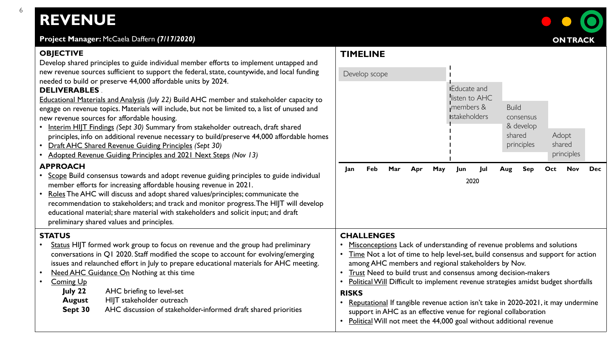## **REVENUE**

6

| Project Manager: McCaela Daffern (7/17/2020)                                                                                                                                                                                                                                                                                                                                                                                                                                                                                                                                                                                                                                                                                                                                                                                                                                                                                                                                                                                                                                                                                                                                                                                                                                                                           |                                                                                                                                                                                                                                                                                                                                                                                                                                                                                                                                                                                                                                                                                       | <b>ON TRACK</b>                                                  |
|------------------------------------------------------------------------------------------------------------------------------------------------------------------------------------------------------------------------------------------------------------------------------------------------------------------------------------------------------------------------------------------------------------------------------------------------------------------------------------------------------------------------------------------------------------------------------------------------------------------------------------------------------------------------------------------------------------------------------------------------------------------------------------------------------------------------------------------------------------------------------------------------------------------------------------------------------------------------------------------------------------------------------------------------------------------------------------------------------------------------------------------------------------------------------------------------------------------------------------------------------------------------------------------------------------------------|---------------------------------------------------------------------------------------------------------------------------------------------------------------------------------------------------------------------------------------------------------------------------------------------------------------------------------------------------------------------------------------------------------------------------------------------------------------------------------------------------------------------------------------------------------------------------------------------------------------------------------------------------------------------------------------|------------------------------------------------------------------|
| <b>OBJECTIVE</b><br>Develop shared principles to guide individual member efforts to implement untapped and<br>new revenue sources sufficient to support the federal, state, countywide, and local funding<br>needed to build or preserve 44,000 affordable units by 2024.<br><b>DELIVERABLES</b><br>Educational Materials and Analysis (July 22) Build AHC member and stakeholder capacity to<br>engage on revenue topics. Materials will include, but not be limited to, a list of unused and<br>new revenue sources for affordable housing.<br>• Interim HIJT Findings (Sept 30) Summary from stakeholder outreach, draft shared<br>principles, info on additional revenue necessary to build/preserve 44,000 affordable homes<br>• Draft AHC Shared Revenue Guiding Principles (Sept 30)<br>• Adopted Revenue Guiding Principles and 2021 Next Steps (Nov 13)<br><b>APPROACH</b><br>• Scope Build consensus towards and adopt revenue guiding principles to guide individual<br>member efforts for increasing affordable housing revenue in 2021.<br>Roles The AHC will discuss and adopt shared values/principles; communicate the<br>recommendation to stakeholders; and track and monitor progress. The HIJT will develop<br>educational material; share material with stakeholders and solicit input; and draft | <b>TIMELINE</b><br>Develop scope<br><b>IEducate and</b><br>listen to AHC<br>members &<br><b>Build</b><br><b>Istakeholders</b><br>consensus<br>& develop<br>shared<br>principles<br>Feb<br>Mar<br>May<br><b>Sep</b><br>Jan<br>Apr<br>Jun<br>Jul<br>Aug<br>2020                                                                                                                                                                                                                                                                                                                                                                                                                         | Adopt<br>shared<br>principles<br>Oct<br><b>Nov</b><br><b>Dec</b> |
| preliminary shared values and principles.<br><b>STATUS</b><br>Status HIJT formed work group to focus on revenue and the group had preliminary<br>conversations in Q1 2020. Staff modified the scope to account for evolving/emerging<br>issues and relaunched effort in July to prepare educational materials for AHC meeting.<br>Need AHC Guidance On Nothing at this time<br>$\bullet$<br><b>Coming Up</b><br>AHC briefing to level-set<br>July 22<br>HIJT stakeholder outreach<br><b>August</b><br>AHC discussion of stakeholder-informed draft shared priorities<br>Sept 30                                                                                                                                                                                                                                                                                                                                                                                                                                                                                                                                                                                                                                                                                                                                        | <b>CHALLENGES</b><br>Misconceptions Lack of understanding of revenue problems and solutions<br>Time Not a lot of time to help level-set, build consensus and support for action<br>$\bullet$<br>among AHC members and regional stakeholders by Nov.<br>Trust Need to build trust and consensus among decision-makers<br>$\bullet$<br>Political Will Difficult to implement revenue strategies amidst budget shortfalls<br>$\bullet$<br><b>RISKS</b><br>• Reputational If tangible revenue action isn't take in 2020-2021, it may undermine<br>support in AHC as an effective venue for regional collaboration<br>• Political Will not meet the 44,000 goal without additional revenue |                                                                  |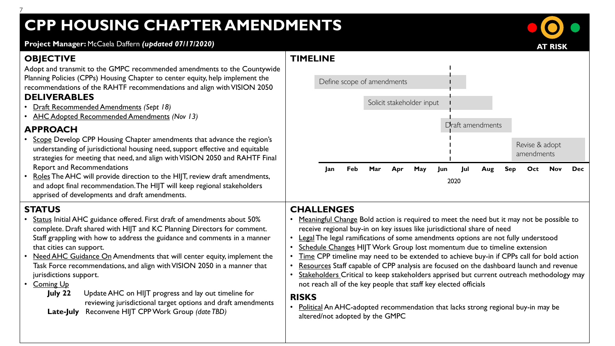## **CPP HOUSING CHAPTER AMENDMENTS**

**AT RISK**

**Project Manager:** McCaela Daffern *(updated 07/17/2020)*

#### **OBJECTIVE**

7

Adopt and transmit to the GMPC recommended amendments to the Countywide Planning Policies (CPPs) Housing Chapter to center equity, help implement the recommendations of the RAHTF recommendations and align with VISION 2050 **DELIVERABLES**

- Draft Recommended Amendments *(Sept 18)*
- AHC Adopted Recommended Amendments *(Nov 13)*

#### **APPROACH**

- Scope Develop CPP Housing Chapter amendments that advance the region's understanding of jurisdictional housing need, support effective and equitable strategies for meeting that need, and align with VISION 2050 and RAHTF Final Report and Recommendations
- Roles The AHC will provide direction to the HIJT, review draft amendments, and adopt final recommendation. The HIJT will keep regional stakeholders apprised of developments and draft amendments.

#### **STATUS**

- Status Initial AHC guidance offered. First draft of amendments about 50% complete. Draft shared with HIJT and KC Planning Directors for comment. Staff grappling with how to address the guidance and comments in a manner that cities can support.
- Need AHC Guidance On Amendments that will center equity, implement the Task Force recommendations, and align with VISION 2050 in a manner that jurisdictions support.
- Coming Up
	- **July 22** Update AHC on HIJT progress and lay out timeline for reviewing jurisdictional target options and draft amendments **Late-July** Reconvene HIJT CPP Work Group *(date TBD)*



#### **CHALLENGES**

- Meaningful Change Bold action is required to meet the need but it may not be possible to receive regional buy-in on key issues like jurisdictional share of need
- Legal The legal ramifications of some amendments options are not fully understood
- Schedule Changes HIJT Work Group lost momentum due to timeline extension
- Time CPP timeline may need to be extended to achieve buy-in if CPPs call for bold action
- Resources Staff capable of CPP analysis are focused on the dashboard launch and revenue
- Stakeholders Critical to keep stakeholders apprised but current outreach methodology may not reach all of the key people that staff key elected officials

#### **RISKS**

• Political An AHC-adopted recommendation that lacks strong regional buy-in may be altered/not adopted by the GMPC